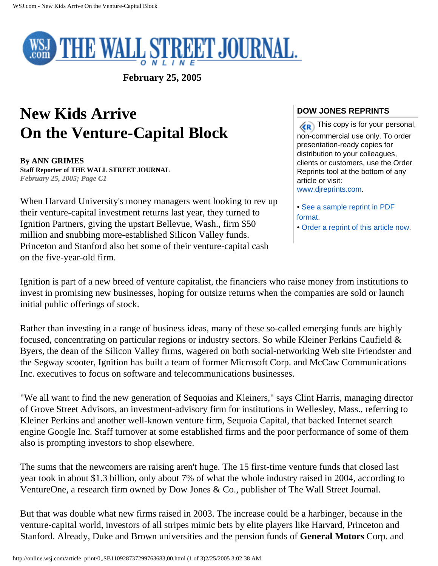

**February 25, 2005** 

# **New Kids Arrive On the Venture-Capital Block**

**By ANN GRIMES Staff Reporter of THE WALL STREET JOURNAL** *February 25, 2005; Page C1*

When Harvard University's money managers went looking to rev up their venture-capital investment returns last year, they turned to Ignition Partners, giving the upstart Bellevue, Wash., firm \$50 million and snubbing more-established Silicon Valley funds. Princeton and Stanford also bet some of their venture-capital cash on the five-year-old firm.

# **DOW JONES REPRINTS**

 $\langle \langle \mathbf{R} \rangle$  This copy is for your personal, non-commercial use only. To order presentation-ready copies for distribution to your colleagues, clients or customers, use the Order Reprints tool at the bottom of any article or visit: [www.djreprints.com.](http://www.djreprints.com/)

- [See a sample reprint in PDF](http://online.wsj.com/public/resources/documents/Reprint_Samples.pdf)  [format.](http://online.wsj.com/public/resources/documents/Reprint_Samples.pdf)
- [Order a reprint of this article now](javascript:CopyrightPopUp()).

Ignition is part of a new breed of venture capitalist, the financiers who raise money from institutions to invest in promising new businesses, hoping for outsize returns when the companies are sold or launch initial public offerings of stock.

Rather than investing in a range of business ideas, many of these so-called emerging funds are highly focused, concentrating on particular regions or industry sectors. So while Kleiner Perkins Caufield & Byers, the dean of the Silicon Valley firms, wagered on both social-networking Web site Friendster and the Segway scooter, Ignition has built a team of former Microsoft Corp. and McCaw Communications Inc. executives to focus on software and telecommunications businesses.

"We all want to find the new generation of Sequoias and Kleiners," says Clint Harris, managing director of Grove Street Advisors, an investment-advisory firm for institutions in Wellesley, Mass., referring to Kleiner Perkins and another well-known venture firm, Sequoia Capital, that backed Internet search engine Google Inc. Staff turnover at some established firms and the poor performance of some of them also is prompting investors to shop elsewhere.

The sums that the newcomers are raising aren't huge. The 15 first-time venture funds that closed last year took in about \$1.3 billion, only about 7% of what the whole industry raised in 2004, according to VentureOne, a research firm owned by Dow Jones & Co., publisher of The Wall Street Journal.

But that was double what new firms raised in 2003. The increase could be a harbinger, because in the venture-capital world, investors of all stripes mimic bets by elite players like Harvard, Princeton and Stanford. Already, Duke and Brown universities and the pension funds of **General Motors** Corp. and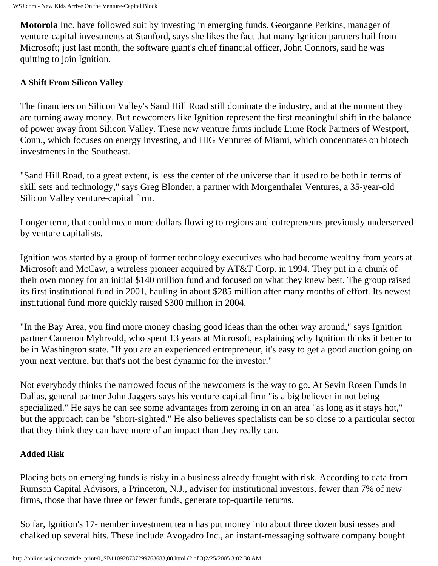**Motorola** Inc. have followed suit by investing in emerging funds. Georganne Perkins, manager of venture-capital investments at Stanford, says she likes the fact that many Ignition partners hail from Microsoft; just last month, the software giant's chief financial officer, John Connors, said he was quitting to join Ignition.

## **A Shift From Silicon Valley**

The financiers on Silicon Valley's Sand Hill Road still dominate the industry, and at the moment they are turning away money. But newcomers like Ignition represent the first meaningful shift in the balance of power away from Silicon Valley. These new venture firms include Lime Rock Partners of Westport, Conn., which focuses on energy investing, and HIG Ventures of Miami, which concentrates on biotech investments in the Southeast.

"Sand Hill Road, to a great extent, is less the center of the universe than it used to be both in terms of skill sets and technology," says Greg Blonder, a partner with Morgenthaler Ventures, a 35-year-old Silicon Valley venture-capital firm.

Longer term, that could mean more dollars flowing to regions and entrepreneurs previously underserved by venture capitalists.

Ignition was started by a group of former technology executives who had become wealthy from years at Microsoft and McCaw, a wireless pioneer acquired by AT&T Corp. in 1994. They put in a chunk of their own money for an initial \$140 million fund and focused on what they knew best. The group raised its first institutional fund in 2001, hauling in about \$285 million after many months of effort. Its newest institutional fund more quickly raised \$300 million in 2004.

"In the Bay Area, you find more money chasing good ideas than the other way around," says Ignition partner Cameron Myhrvold, who spent 13 years at Microsoft, explaining why Ignition thinks it better to be in Washington state. "If you are an experienced entrepreneur, it's easy to get a good auction going on your next venture, but that's not the best dynamic for the investor."

Not everybody thinks the narrowed focus of the newcomers is the way to go. At Sevin Rosen Funds in Dallas, general partner John Jaggers says his venture-capital firm "is a big believer in not being specialized." He says he can see some advantages from zeroing in on an area "as long as it stays hot," but the approach can be "short-sighted." He also believes specialists can be so close to a particular sector that they think they can have more of an impact than they really can.

### **Added Risk**

Placing bets on emerging funds is risky in a business already fraught with risk. According to data from Rumson Capital Advisors, a Princeton, N.J., adviser for institutional investors, fewer than 7% of new firms, those that have three or fewer funds, generate top-quartile returns.

So far, Ignition's 17-member investment team has put money into about three dozen businesses and chalked up several hits. These include Avogadro Inc., an instant-messaging software company bought